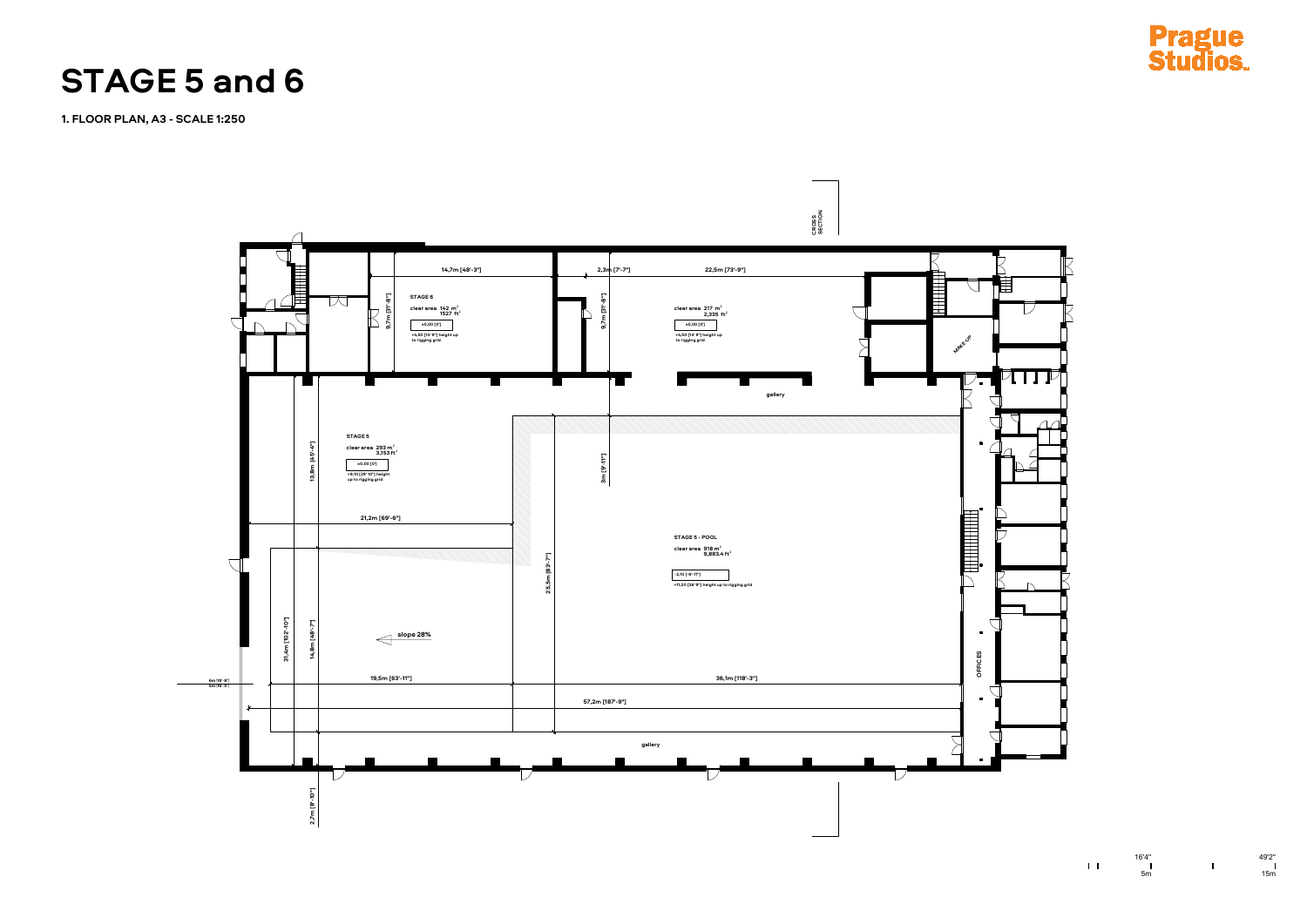



**1. FLOOR PLAN, A3 - SCALE 1:250**

## **STAGE 5 and 6**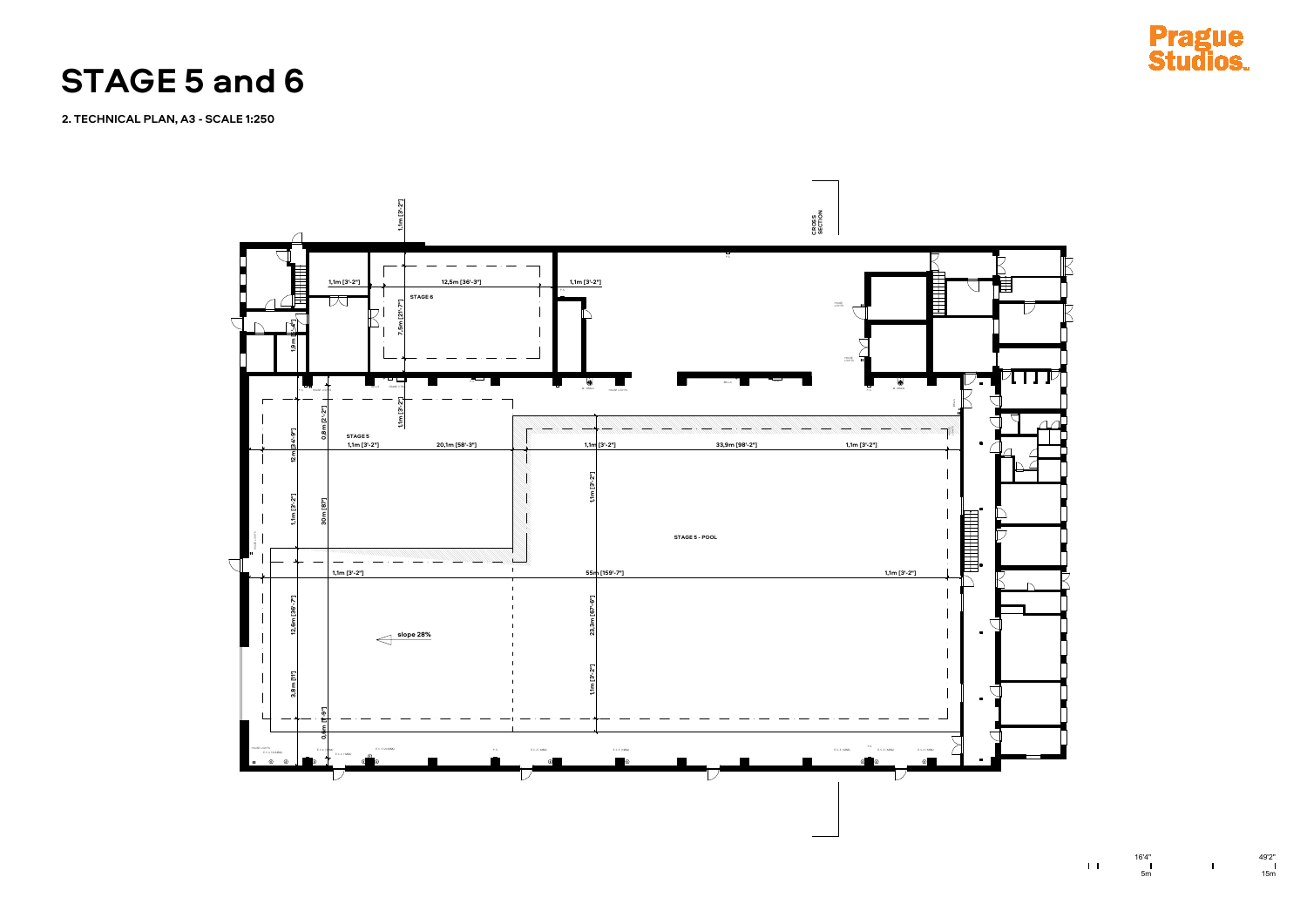



 $1\,$  L

**2. TECHNICAL PLAN, A3 - SCALE 1:250**

**STAGE 5 and 6**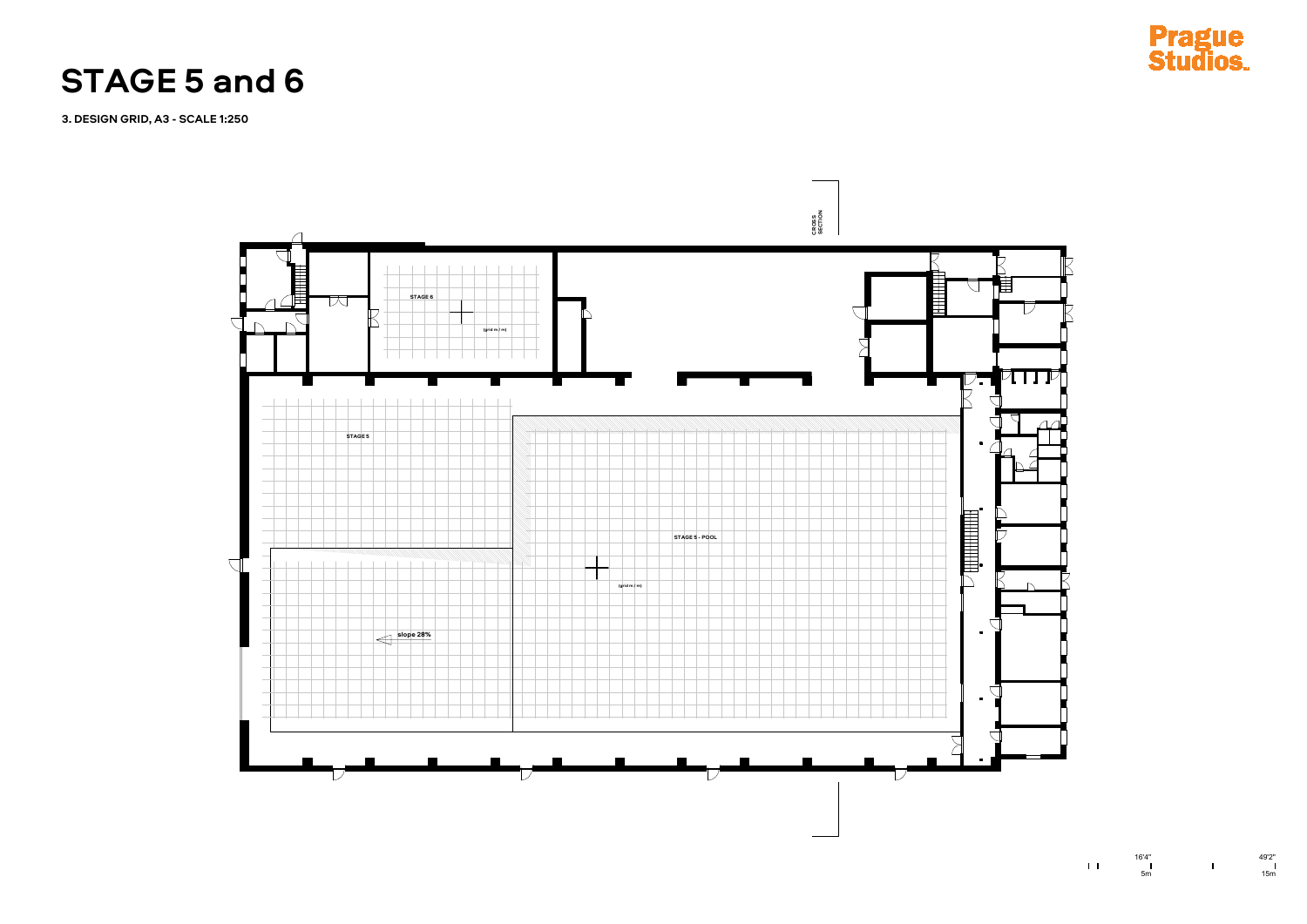



 $1/\Gamma$ 

**3. DESIGN GRID, A3 - SCALE 1:250**

## **STAGE 5 and 6**